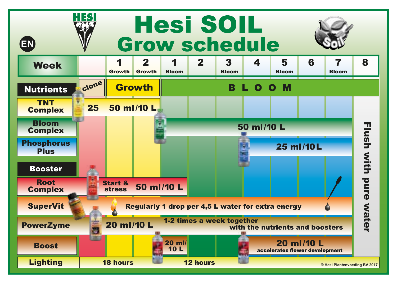